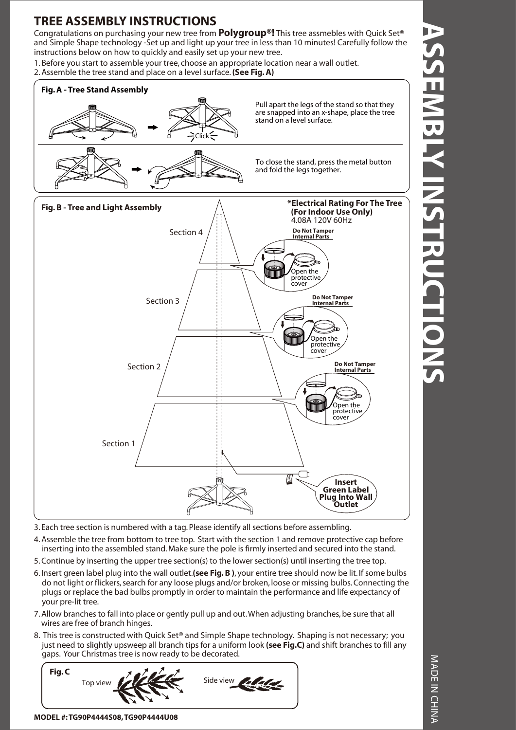## **TREE ASSEMBLY INSTRUCTIONS**

Congratulations on purchasing your new tree from **Polygroup®!** This tree assmebles with Quick Set® and Simple Shape technology -Set up and light up your tree in less than 10 minutes! Carefully follow the instructions below on how to quickly and easily set up your new tree.

1. Before you start to assemble your tree, choose an appropriate location near a wall outlet. 2. Assemble the tree stand and place on a level surface. **(See Fig. A)**



3. Each tree section is numbered with a tag. Please identify all sections before assembling.

4. Assemble the tree from bottom to tree top. Start with the section 1 and remove protective cap before inserting into the assembled stand. Make sure the pole is firmly inserted and secured into the stand.

- 5. Continue by inserting the upper tree section(s) to the lower section(s) until inserting the tree top.
- 6. Insert green label plug into the wall outlet.**(see Fig. B )**, your entire tree should now be lit. If some bulbs do not light or flickers, search for any loose plugs and/or broken, loose or missing bulbs. Connecting the plugs or replace the bad bulbs promptly in order to maintain the performance and life expectancy of your pre-lit tree.
- 7. Allow branches to fall into place or gently pull up and out. When adjusting branches, be sure that all wires are free of branch hinges.
- 8. This tree is constructed with Quick Set® and Simple Shape technology. Shaping is not necessary; you just need to slightly upsweep all branch tips for a uniform look **(see Fig.C)** and shift branches to fill any gaps. Your Christmas tree is now ready to be decorated.



**MODEL #: TG90P4444S08, TG90P4444U08**